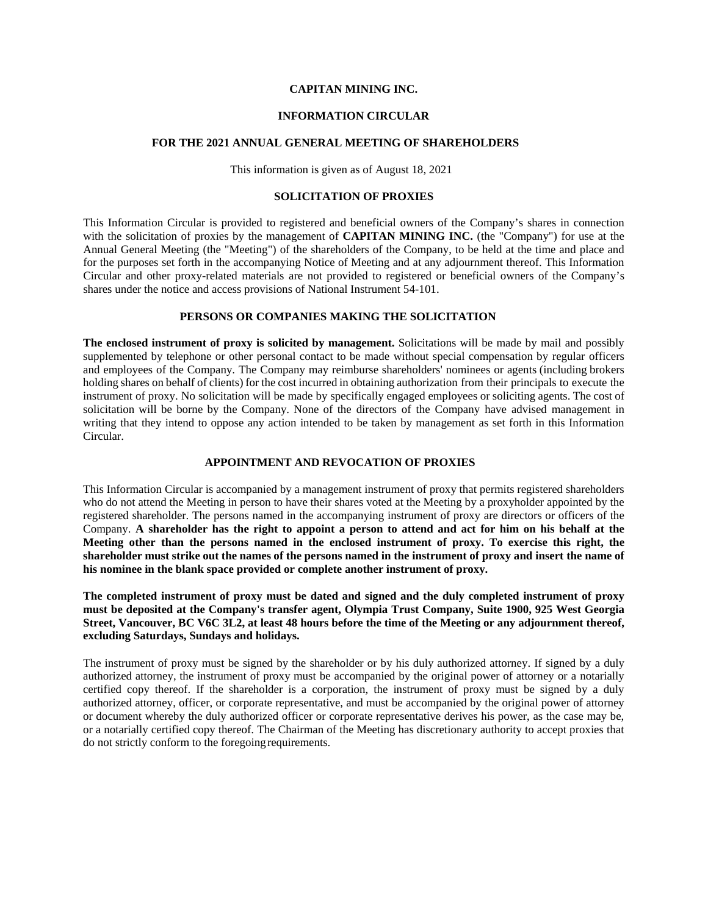## **CAPITAN MINING INC.**

#### **INFORMATION CIRCULAR**

#### **FOR THE 2021 ANNUAL GENERAL MEETING OF SHAREHOLDERS**

This information is given as of August 18, 2021

### **SOLICITATION OF PROXIES**

This Information Circular is provided to registered and beneficial owners of the Company's shares in connection with the solicitation of proxies by the management of **CAPITAN MINING INC.** (the "Company") for use at the Annual General Meeting (the "Meeting") of the shareholders of the Company, to be held at the time and place and for the purposes set forth in the accompanying Notice of Meeting and at any adjournment thereof. This Information Circular and other proxy-related materials are not provided to registered or beneficial owners of the Company's shares under the notice and access provisions of National Instrument 54-101.

#### **PERSONS OR COMPANIES MAKING THE SOLICITATION**

**The enclosed instrument of proxy is solicited by management.** Solicitations will be made by mail and possibly supplemented by telephone or other personal contact to be made without special compensation by regular officers and employees of the Company. The Company may reimburse shareholders' nominees or agents (including brokers holding shares on behalf of clients) for the cost incurred in obtaining authorization from their principals to execute the instrument of proxy. No solicitation will be made by specifically engaged employees or soliciting agents. The cost of solicitation will be borne by the Company. None of the directors of the Company have advised management in writing that they intend to oppose any action intended to be taken by management as set forth in this Information Circular.

### **APPOINTMENT AND REVOCATION OF PROXIES**

This Information Circular is accompanied by a management instrument of proxy that permits registered shareholders who do not attend the Meeting in person to have their shares voted at the Meeting by a proxyholder appointed by the registered shareholder. The persons named in the accompanying instrument of proxy are directors or officers of the Company. **A shareholder has the right to appoint a person to attend and act for him on his behalf at the Meeting other than the persons named in the enclosed instrument of proxy. To exercise this right, the shareholder must strike out the names of the persons named in the instrument of proxy and insert the name of his nominee in the blank space provided or complete another instrument of proxy.**

**The completed instrument of proxy must be dated and signed and the duly completed instrument of proxy must be deposited at the Company's transfer agent, Olympia Trust Company, Suite 1900, 925 West Georgia Street, Vancouver, BC V6C 3L2, at least 48 hours before the time of the Meeting or any adjournment thereof, excluding Saturdays, Sundays and holidays.**

The instrument of proxy must be signed by the shareholder or by his duly authorized attorney. If signed by a duly authorized attorney, the instrument of proxy must be accompanied by the original power of attorney or a notarially certified copy thereof. If the shareholder is a corporation, the instrument of proxy must be signed by a duly authorized attorney, officer, or corporate representative, and must be accompanied by the original power of attorney or document whereby the duly authorized officer or corporate representative derives his power, as the case may be, or a notarially certified copy thereof. The Chairman of the Meeting has discretionary authority to accept proxies that do not strictly conform to the foregoing requirements.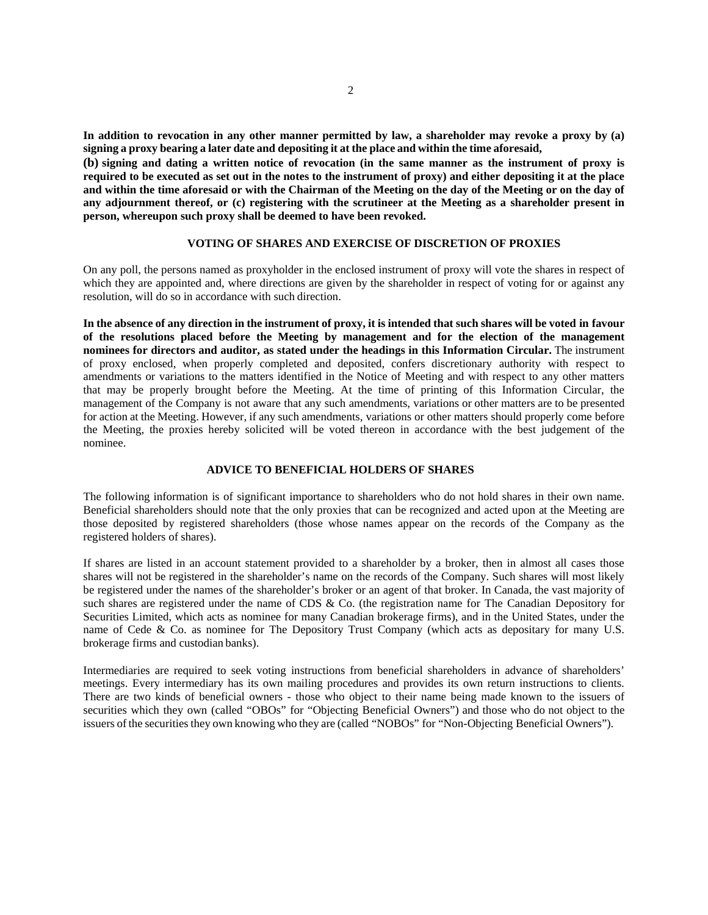**In addition to revocation in any other manner permitted by law, a shareholder may revoke a proxy by (a) signing a proxy bearing a later date and depositing it at the place and within the time aforesaid,**

**(b) signing and dating a written notice of revocation (in the same manner as the instrument of proxy is required to be executed as set out in the notes to the instrument of proxy) and either depositing it at the place and within the time aforesaid or with the Chairman of the Meeting on the day of the Meeting or on the day of any adjournment thereof, or (c) registering with the scrutineer at the Meeting as a shareholder present in person, whereupon such proxy shall be deemed to have been revoked.**

### **VOTING OF SHARES AND EXERCISE OF DISCRETION OF PROXIES**

On any poll, the persons named as proxyholder in the enclosed instrument of proxy will vote the shares in respect of which they are appointed and, where directions are given by the shareholder in respect of voting for or against any resolution, will do so in accordance with such direction.

In the absence of any direction in the instrument of proxy, it is intended that such shares will be voted in favour **of the resolutions placed before the Meeting by management and for the election of the management nominees for directors and auditor, as stated under the headings in this Information Circular.** The instrument of proxy enclosed, when properly completed and deposited, confers discretionary authority with respect to amendments or variations to the matters identified in the Notice of Meeting and with respect to any other matters that may be properly brought before the Meeting. At the time of printing of this Information Circular, the management of the Company is not aware that any such amendments, variations or other matters are to be presented for action at the Meeting. However, if any such amendments, variations or other matters should properly come before the Meeting, the proxies hereby solicited will be voted thereon in accordance with the best judgement of the nominee.

### **ADVICE TO BENEFICIAL HOLDERS OF SHARES**

The following information is of significant importance to shareholders who do not hold shares in their own name. Beneficial shareholders should note that the only proxies that can be recognized and acted upon at the Meeting are those deposited by registered shareholders (those whose names appear on the records of the Company as the registered holders of shares).

If shares are listed in an account statement provided to a shareholder by a broker, then in almost all cases those shares will not be registered in the shareholder's name on the records of the Company. Such shares will most likely be registered under the names of the shareholder's broker or an agent of that broker. In Canada, the vast majority of such shares are registered under the name of CDS & Co. (the registration name for The Canadian Depository for Securities Limited, which acts as nominee for many Canadian brokerage firms), and in the United States, under the name of Cede & Co. as nominee for The Depository Trust Company (which acts as depositary for many U.S. brokerage firms and custodian banks).

Intermediaries are required to seek voting instructions from beneficial shareholders in advance of shareholders' meetings. Every intermediary has its own mailing procedures and provides its own return instructions to clients. There are two kinds of beneficial owners - those who object to their name being made known to the issuers of securities which they own (called "OBOs" for "Objecting Beneficial Owners") and those who do not object to the issuers of the securities they own knowing who they are (called "NOBOs" for "Non-Objecting Beneficial Owners").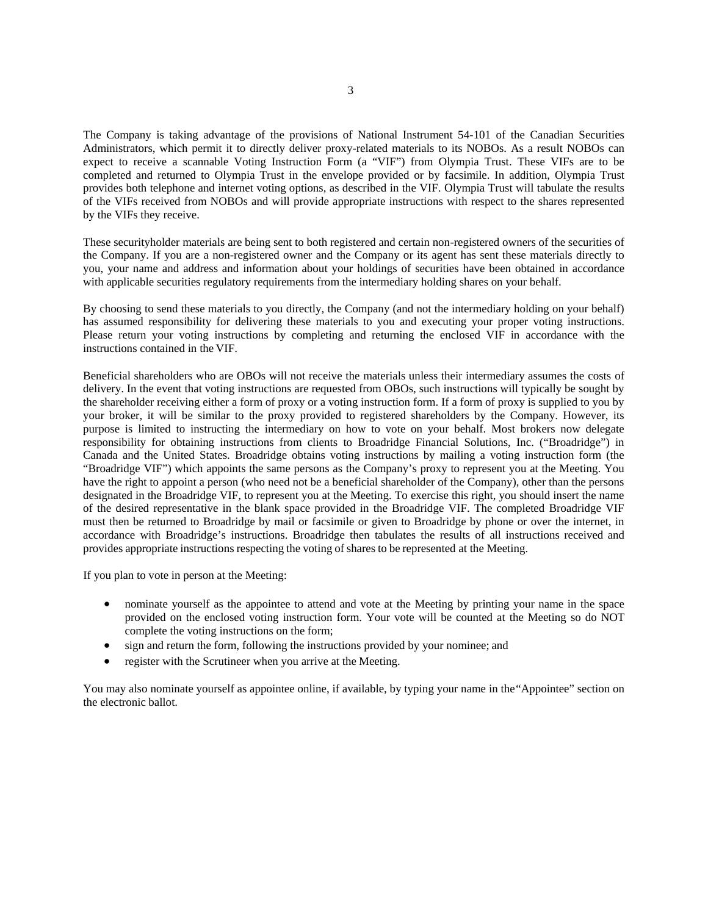The Company is taking advantage of the provisions of National Instrument 54-101 of the Canadian Securities Administrators, which permit it to directly deliver proxy-related materials to its NOBOs. As a result NOBOs can expect to receive a scannable Voting Instruction Form (a "VIF") from Olympia Trust. These VIFs are to be completed and returned to Olympia Trust in the envelope provided or by facsimile. In addition, Olympia Trust provides both telephone and internet voting options, as described in the VIF. Olympia Trust will tabulate the results of the VIFs received from NOBOs and will provide appropriate instructions with respect to the shares represented by the VIFs they receive.

These securityholder materials are being sent to both registered and certain non-registered owners of the securities of the Company. If you are a non-registered owner and the Company or its agent has sent these materials directly to you, your name and address and information about your holdings of securities have been obtained in accordance with applicable securities regulatory requirements from the intermediary holding shares on your behalf.

By choosing to send these materials to you directly, the Company (and not the intermediary holding on your behalf) has assumed responsibility for delivering these materials to you and executing your proper voting instructions. Please return your voting instructions by completing and returning the enclosed VIF in accordance with the instructions contained in the VIF.

Beneficial shareholders who are OBOs will not receive the materials unless their intermediary assumes the costs of delivery. In the event that voting instructions are requested from OBOs, such instructions will typically be sought by the shareholder receiving either a form of proxy or a voting instruction form. If a form of proxy is supplied to you by your broker, it will be similar to the proxy provided to registered shareholders by the Company. However, its purpose is limited to instructing the intermediary on how to vote on your behalf. Most brokers now delegate responsibility for obtaining instructions from clients to Broadridge Financial Solutions, Inc. ("Broadridge") in Canada and the United States. Broadridge obtains voting instructions by mailing a voting instruction form (the "Broadridge VIF") which appoints the same persons as the Company's proxy to represent you at the Meeting. You have the right to appoint a person (who need not be a beneficial shareholder of the Company), other than the persons designated in the Broadridge VIF, to represent you at the Meeting. To exercise this right, you should insert the name of the desired representative in the blank space provided in the Broadridge VIF. The completed Broadridge VIF must then be returned to Broadridge by mail or facsimile or given to Broadridge by phone or over the internet, in accordance with Broadridge's instructions. Broadridge then tabulates the results of all instructions received and provides appropriate instructions respecting the voting of shares to be represented at the Meeting.

If you plan to vote in person at the Meeting:

- nominate yourself as the appointee to attend and vote at the Meeting by printing your name in the space provided on the enclosed voting instruction form. Your vote will be counted at the Meeting so do NOT complete the voting instructions on the form;
- sign and return the form, following the instructions provided by your nominee; and
- register with the Scrutineer when you arrive at the Meeting.

You may also nominate yourself as appointee online, if available, by typing your name in the"Appointee" section on the electronic ballot.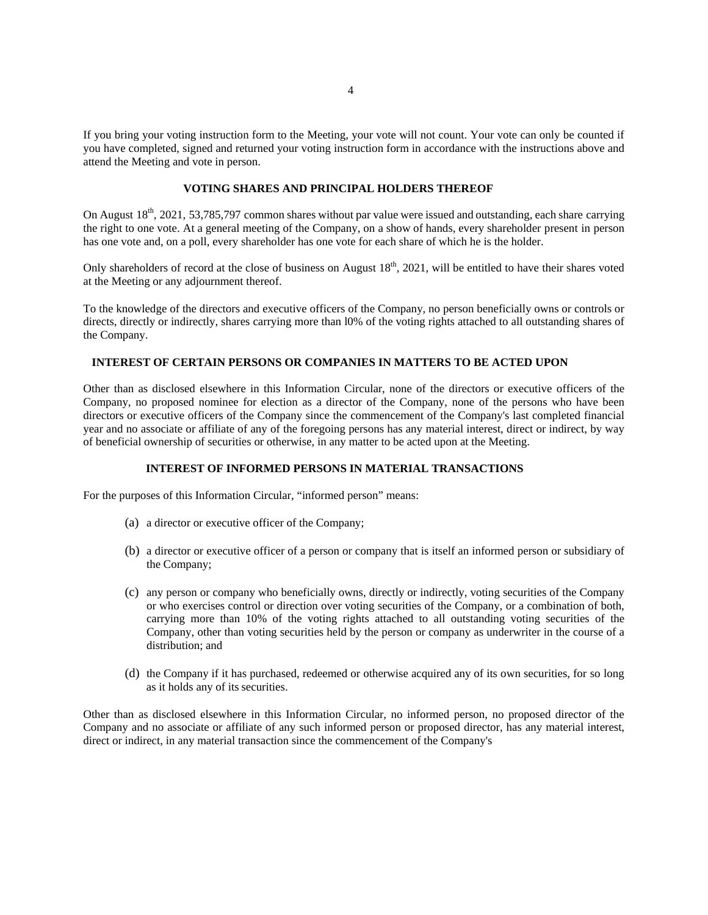If you bring your voting instruction form to the Meeting, your vote will not count. Your vote can only be counted if you have completed, signed and returned your voting instruction form in accordance with the instructions above and attend the Meeting and vote in person.

### **VOTING SHARES AND PRINCIPAL HOLDERS THEREOF**

On August  $18<sup>th</sup>$ , 2021, 53,785,797 common shares without par value were issued and outstanding, each share carrying the right to one vote. At a general meeting of the Company, on a show of hands, every shareholder present in person has one vote and, on a poll, every shareholder has one vote for each share of which he is the holder.

Only shareholders of record at the close of business on August  $18<sup>th</sup>$ , 2021, will be entitled to have their shares voted at the Meeting or any adjournment thereof.

To the knowledge of the directors and executive officers of the Company, no person beneficially owns or controls or directs, directly or indirectly, shares carrying more than l0% of the voting rights attached to all outstanding shares of the Company.

## **INTEREST OF CERTAIN PERSONS OR COMPANIES IN MATTERS TO BE ACTED UPON**

Other than as disclosed elsewhere in this Information Circular, none of the directors or executive officers of the Company, no proposed nominee for election as a director of the Company, none of the persons who have been directors or executive officers of the Company since the commencement of the Company's last completed financial year and no associate or affiliate of any of the foregoing persons has any material interest, direct or indirect, by way of beneficial ownership of securities or otherwise, in any matter to be acted upon at the Meeting.

#### **INTEREST OF INFORMED PERSONS IN MATERIAL TRANSACTIONS**

For the purposes of this Information Circular, "informed person" means:

- (a) a director or executive officer of the Company;
- (b) a director or executive officer of a person or company that is itself an informed person or subsidiary of the Company;
- (c) any person or company who beneficially owns, directly or indirectly, voting securities of the Company or who exercises control or direction over voting securities of the Company, or a combination of both, carrying more than 10% of the voting rights attached to all outstanding voting securities of the Company, other than voting securities held by the person or company as underwriter in the course of a distribution; and
- (d) the Company if it has purchased, redeemed or otherwise acquired any of its own securities, for so long as it holds any of its securities.

Other than as disclosed elsewhere in this Information Circular, no informed person, no proposed director of the Company and no associate or affiliate of any such informed person or proposed director, has any material interest, direct or indirect, in any material transaction since the commencement of the Company's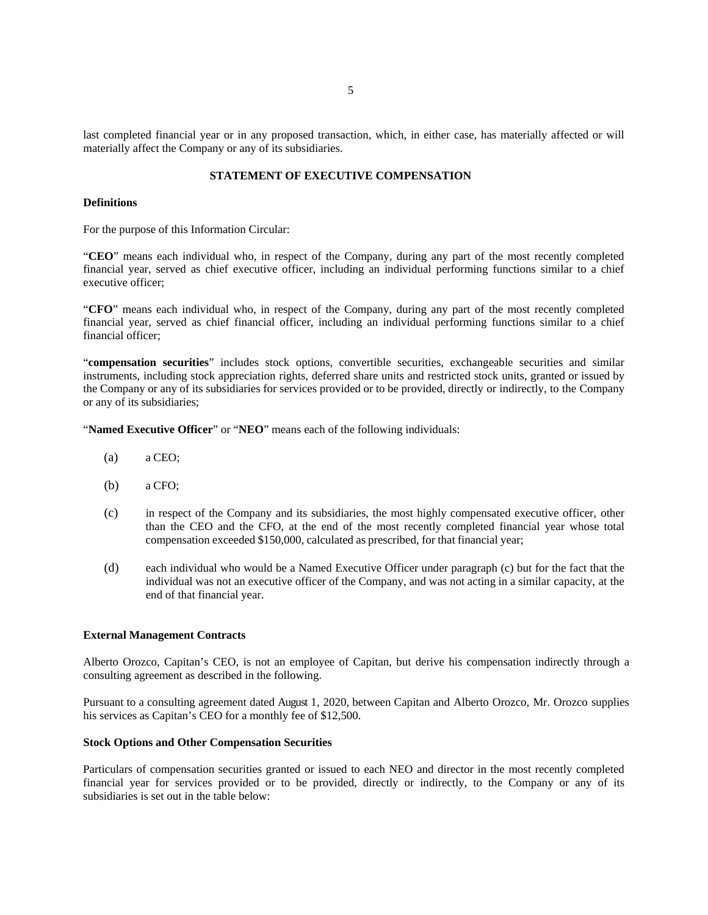last completed financial year or in any proposed transaction, which, in either case, has materially affected or will materially affect the Company or any of its subsidiaries.

### **STATEMENT OF EXECUTIVE COMPENSATION**

#### **Definitions**

For the purpose of this Information Circular:

"**CEO**" means each individual who, in respect of the Company, during any part of the most recently completed financial year, served as chief executive officer, including an individual performing functions similar to a chief executive officer;

"**CFO**" means each individual who, in respect of the Company, during any part of the most recently completed financial year, served as chief financial officer, including an individual performing functions similar to a chief financial officer;

"**compensation securities**" includes stock options, convertible securities, exchangeable securities and similar instruments, including stock appreciation rights, deferred share units and restricted stock units, granted or issued by the Company or any of its subsidiaries for services provided or to be provided, directly or indirectly, to the Company or any of its subsidiaries;

"**Named Executive Officer**" or "**NEO**" means each of the following individuals:

- (a) a CEO;
- (b) a CFO;
- (c) in respect of the Company and its subsidiaries, the most highly compensated executive officer, other than the CEO and the CFO, at the end of the most recently completed financial year whose total compensation exceeded \$150,000, calculated as prescribed, for that financial year;
- (d) each individual who would be a Named Executive Officer under paragraph (c) but for the fact that the individual was not an executive officer of the Company, and was not acting in a similar capacity, at the end of that financial year.

#### **External Management Contracts**

Alberto Orozco, Capitan's CEO, is not an employee of Capitan, but derive his compensation indirectly through a consulting agreement as described in the following.

Pursuant to a consulting agreement dated August 1, 2020, between Capitan and Alberto Orozco, Mr. Orozco supplies his services as Capitan's CEO for a monthly fee of \$12,500.

### **Stock Options and Other Compensation Securities**

Particulars of compensation securities granted or issued to each NEO and director in the most recently completed financial year for services provided or to be provided, directly or indirectly, to the Company or any of its subsidiaries is set out in the table below: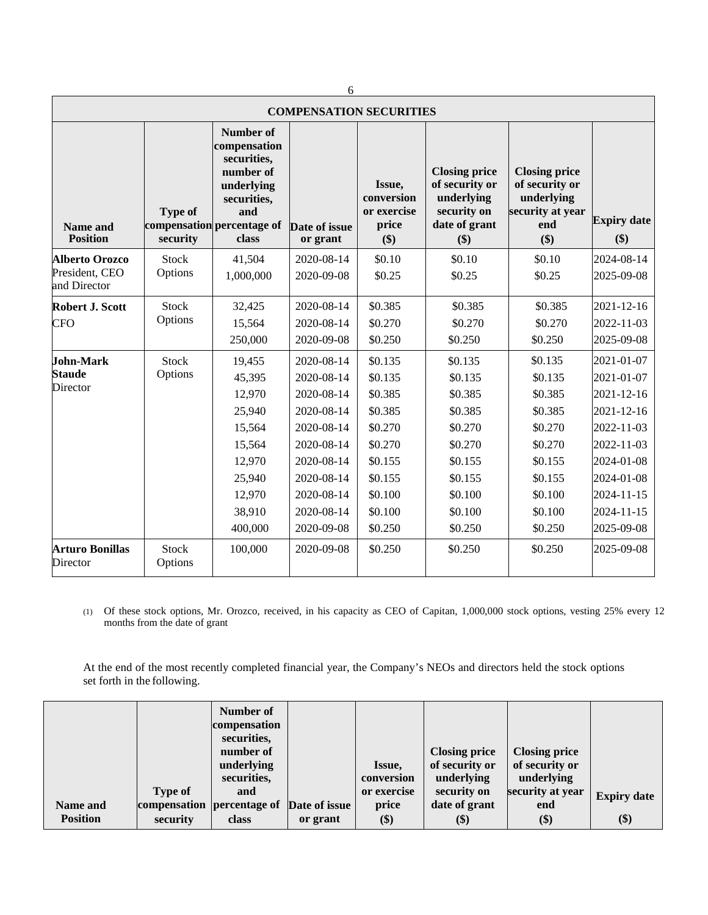| O                                                       |                            |                                                                                                                                         |                                                                                                                                                        |                                                                                                                       |                                                                                                                       |                                                                                                                       |                                                                                                                                                        |  |
|---------------------------------------------------------|----------------------------|-----------------------------------------------------------------------------------------------------------------------------------------|--------------------------------------------------------------------------------------------------------------------------------------------------------|-----------------------------------------------------------------------------------------------------------------------|-----------------------------------------------------------------------------------------------------------------------|-----------------------------------------------------------------------------------------------------------------------|--------------------------------------------------------------------------------------------------------------------------------------------------------|--|
| <b>COMPENSATION SECURITIES</b>                          |                            |                                                                                                                                         |                                                                                                                                                        |                                                                                                                       |                                                                                                                       |                                                                                                                       |                                                                                                                                                        |  |
| <b>Name and</b><br><b>Position</b>                      | <b>Type of</b><br>security | <b>Number of</b><br>compensation<br>securities,<br>number of<br>underlying<br>securities,<br>and<br>compensation percentage of<br>class | Date of issue<br>or grant                                                                                                                              | Issue,<br>conversion<br>or exercise<br>price<br>\$)                                                                   | <b>Closing price</b><br>of security or<br>underlying<br>security on<br>date of grant<br>\$)                           | <b>Closing price</b><br>of security or<br>underlying<br>security at year<br>end<br>\$)                                | <b>Expiry date</b><br>\$)                                                                                                                              |  |
| <b>Alberto Orozco</b><br>President, CEO<br>and Director | Stock<br>Options           | 41,504<br>1,000,000                                                                                                                     | 2020-08-14<br>2020-09-08                                                                                                                               | \$0.10<br>\$0.25                                                                                                      | \$0.10<br>\$0.25                                                                                                      | \$0.10<br>\$0.25                                                                                                      | 2024-08-14<br>2025-09-08                                                                                                                               |  |
| <b>Robert J. Scott</b><br><b>CFO</b>                    | <b>Stock</b><br>Options    | 32,425<br>15,564<br>250,000                                                                                                             | 2020-08-14<br>2020-08-14<br>2020-09-08                                                                                                                 | \$0.385<br>\$0.270<br>\$0.250                                                                                         | \$0.385<br>\$0.270<br>\$0.250                                                                                         | \$0.385<br>\$0.270<br>\$0.250                                                                                         | 2021-12-16<br>2022-11-03<br>2025-09-08                                                                                                                 |  |
| <b>John-Mark</b><br><b>Staude</b><br>Director           | <b>Stock</b><br>Options    | 19,455<br>45,395<br>12,970<br>25,940<br>15,564<br>15,564<br>12,970<br>25,940<br>12,970<br>38,910<br>400,000                             | 2020-08-14<br>2020-08-14<br>2020-08-14<br>2020-08-14<br>2020-08-14<br>2020-08-14<br>2020-08-14<br>2020-08-14<br>2020-08-14<br>2020-08-14<br>2020-09-08 | \$0.135<br>\$0.135<br>\$0.385<br>\$0.385<br>\$0.270<br>\$0.270<br>\$0.155<br>\$0.155<br>\$0.100<br>\$0.100<br>\$0.250 | \$0.135<br>\$0.135<br>\$0.385<br>\$0.385<br>\$0.270<br>\$0.270<br>\$0.155<br>\$0.155<br>\$0.100<br>\$0.100<br>\$0.250 | \$0.135<br>\$0.135<br>\$0.385<br>\$0.385<br>\$0.270<br>\$0.270<br>\$0.155<br>\$0.155<br>\$0.100<br>\$0.100<br>\$0.250 | 2021-01-07<br>2021-01-07<br>2021-12-16<br>2021-12-16<br>2022-11-03<br>2022-11-03<br>2024-01-08<br>2024-01-08<br>2024-11-15<br>2024-11-15<br>2025-09-08 |  |
| <b>Arturo Bonillas</b><br>Director                      | <b>Stock</b><br>Options    | 100,000                                                                                                                                 | 2020-09-08                                                                                                                                             | \$0.250                                                                                                               | \$0.250                                                                                                               | \$0.250                                                                                                               | 2025-09-08                                                                                                                                             |  |

 $\overline{a}$ 

(1) Of these stock options, Mr. Orozco, received, in his capacity as CEO of Capitan, 1,000,000 stock options, vesting 25% every 12 months from the date of grant

At the end of the most recently completed financial year, the Company's NEOs and directors held the stock options set forth in the following.

| <b>Type of</b><br>Name and  | Number of<br>compensation<br>securities,<br>number of<br>underlying<br>securities,<br>and<br>compensation percentage of | Date of issue | Issue,<br>conversion<br>or exercise<br>price | <b>Closing price</b><br>of security or<br>underlying<br>security on<br>date of grant | <b>Closing price</b><br>of security or<br>underlying<br>security at year<br>end | <b>Expiry date</b> |
|-----------------------------|-------------------------------------------------------------------------------------------------------------------------|---------------|----------------------------------------------|--------------------------------------------------------------------------------------|---------------------------------------------------------------------------------|--------------------|
| <b>Position</b><br>security | class                                                                                                                   | or grant      | \$)                                          | \$)                                                                                  | \$)                                                                             | \$)                |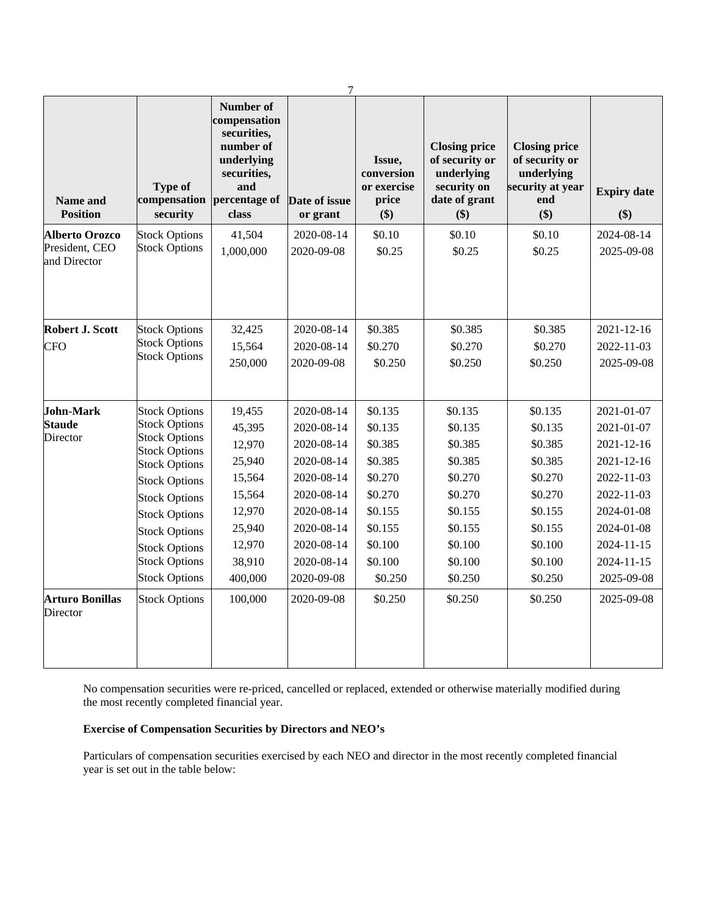| <b>Name and</b><br><b>Position</b>                      | <b>Type of</b><br>compensation<br>security                                                                                                                                                                                                                                                   | Number of<br>compensation<br>securities,<br>number of<br>underlying<br>securities,<br>and<br>percentage of<br>class | $\tau$<br>Date of issue<br>or grant                                                                                                                    | Issue,<br>conversion<br>or exercise<br>price<br>\$)                                                                   | <b>Closing price</b><br>of security or<br>underlying<br>security on<br>date of grant<br>\$)                           | <b>Closing price</b><br>of security or<br>underlying<br>security at year<br>end<br>\$)                                | <b>Expiry date</b><br>$($ \$)                                                                                                                                |
|---------------------------------------------------------|----------------------------------------------------------------------------------------------------------------------------------------------------------------------------------------------------------------------------------------------------------------------------------------------|---------------------------------------------------------------------------------------------------------------------|--------------------------------------------------------------------------------------------------------------------------------------------------------|-----------------------------------------------------------------------------------------------------------------------|-----------------------------------------------------------------------------------------------------------------------|-----------------------------------------------------------------------------------------------------------------------|--------------------------------------------------------------------------------------------------------------------------------------------------------------|
| <b>Alberto Orozco</b><br>President, CEO<br>and Director | <b>Stock Options</b><br><b>Stock Options</b>                                                                                                                                                                                                                                                 | 41,504<br>1,000,000                                                                                                 | 2020-08-14<br>2020-09-08                                                                                                                               | \$0.10<br>\$0.25                                                                                                      | \$0.10<br>\$0.25                                                                                                      | \$0.10<br>\$0.25                                                                                                      | 2024-08-14<br>2025-09-08                                                                                                                                     |
| Robert J. Scott<br><b>CFO</b>                           | <b>Stock Options</b><br><b>Stock Options</b><br><b>Stock Options</b>                                                                                                                                                                                                                         | 32,425<br>15,564<br>250,000                                                                                         | 2020-08-14<br>2020-08-14<br>2020-09-08                                                                                                                 | \$0.385<br>\$0.270<br>\$0.250                                                                                         | \$0.385<br>\$0.270<br>\$0.250                                                                                         | \$0.385<br>\$0.270<br>\$0.250                                                                                         | 2021-12-16<br>2022-11-03<br>2025-09-08                                                                                                                       |
| <b>John-Mark</b><br><b>Staude</b><br>Director           | <b>Stock Options</b><br><b>Stock Options</b><br><b>Stock Options</b><br><b>Stock Options</b><br><b>Stock Options</b><br><b>Stock Options</b><br><b>Stock Options</b><br><b>Stock Options</b><br><b>Stock Options</b><br><b>Stock Options</b><br><b>Stock Options</b><br><b>Stock Options</b> | 19,455<br>45,395<br>12,970<br>25,940<br>15,564<br>15,564<br>12,970<br>25,940<br>12,970<br>38,910<br>400,000         | 2020-08-14<br>2020-08-14<br>2020-08-14<br>2020-08-14<br>2020-08-14<br>2020-08-14<br>2020-08-14<br>2020-08-14<br>2020-08-14<br>2020-08-14<br>2020-09-08 | \$0.135<br>\$0.135<br>\$0.385<br>\$0.385<br>\$0.270<br>\$0.270<br>\$0.155<br>\$0.155<br>\$0.100<br>\$0.100<br>\$0.250 | \$0.135<br>\$0.135<br>\$0.385<br>\$0.385<br>\$0.270<br>\$0.270<br>\$0.155<br>\$0.155<br>\$0.100<br>\$0.100<br>\$0.250 | \$0.135<br>\$0.135<br>\$0.385<br>\$0.385<br>\$0.270<br>\$0.270<br>\$0.155<br>\$0.155<br>\$0.100<br>\$0.100<br>\$0.250 | 2021-01-07<br>2021-01-07<br>2021-12-16<br>2021-12-16<br>2022-11-03<br>2022-11-03<br>2024-01-08<br>2024-01-08<br>$2024 - 11 - 15$<br>2024-11-15<br>2025-09-08 |
| <b>Arturo Bonillas</b><br>Director                      | <b>Stock Options</b>                                                                                                                                                                                                                                                                         | 100,000                                                                                                             | 2020-09-08                                                                                                                                             | \$0.250                                                                                                               | \$0.250                                                                                                               | \$0.250                                                                                                               | 2025-09-08                                                                                                                                                   |

No compensation securities were re-priced, cancelled or replaced, extended or otherwise materially modified during the most recently completed financial year.

# **Exercise of Compensation Securities by Directors and NEO's**

Particulars of compensation securities exercised by each NEO and director in the most recently completed financial year is set out in the table below: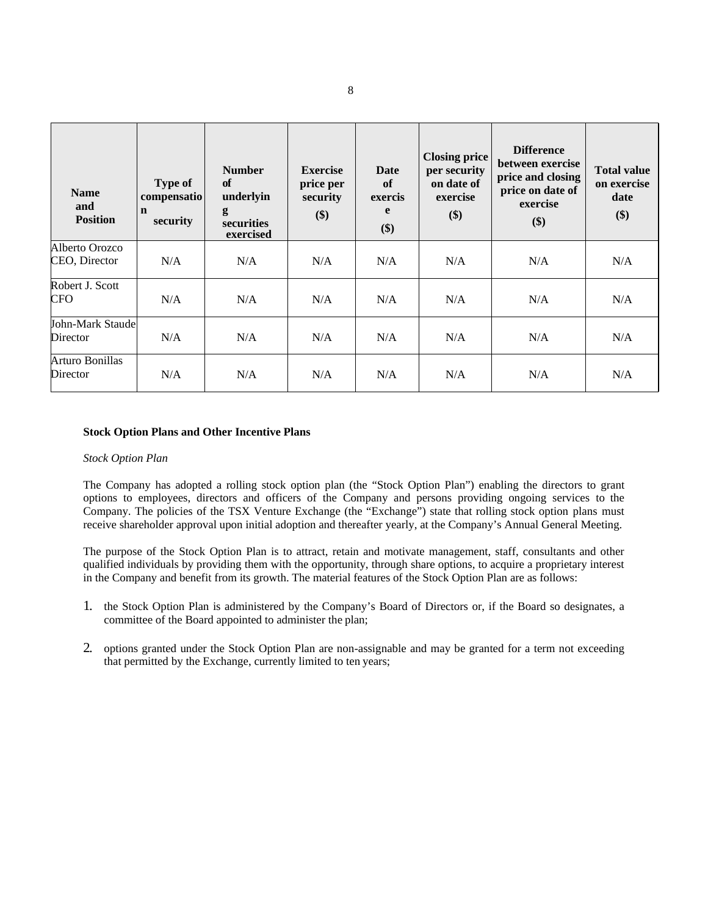| <b>Name</b><br>and<br><b>Position</b> | <b>Type of</b><br>compensatio<br>$\mathbf n$<br>security | <b>Number</b><br>of<br>underlyin<br>g<br>securities<br>exercised | <b>Exercise</b><br>price per<br>security<br>\$) | Date<br>of<br>exercis<br>e<br>\$) | <b>Closing price</b><br>per security<br>on date of<br>exercise<br>\$) | <b>Difference</b><br>between exercise<br>price and closing<br>price on date of<br>exercise<br>\$) | <b>Total value</b><br>on exercise<br>date<br>\$) |
|---------------------------------------|----------------------------------------------------------|------------------------------------------------------------------|-------------------------------------------------|-----------------------------------|-----------------------------------------------------------------------|---------------------------------------------------------------------------------------------------|--------------------------------------------------|
| Alberto Orozco<br>CEO, Director       | N/A                                                      | N/A                                                              | N/A                                             | N/A                               | N/A                                                                   | N/A                                                                                               | N/A                                              |
| Robert J. Scott<br><b>CFO</b>         | N/A                                                      | N/A                                                              | N/A                                             | N/A                               | N/A                                                                   | N/A                                                                                               | N/A                                              |
| John-Mark Staude<br>Director          | N/A                                                      | N/A                                                              | N/A                                             | N/A                               | N/A                                                                   | N/A                                                                                               | N/A                                              |
| Arturo Bonillas<br>Director           | N/A                                                      | N/A                                                              | N/A                                             | N/A                               | N/A                                                                   | N/A                                                                                               | N/A                                              |

### **Stock Option Plans and Other Incentive Plans**

#### *Stock Option Plan*

The Company has adopted a rolling stock option plan (the "Stock Option Plan") enabling the directors to grant options to employees, directors and officers of the Company and persons providing ongoing services to the Company. The policies of the TSX Venture Exchange (the "Exchange") state that rolling stock option plans must receive shareholder approval upon initial adoption and thereafter yearly, at the Company's Annual General Meeting.

The purpose of the Stock Option Plan is to attract, retain and motivate management, staff, consultants and other qualified individuals by providing them with the opportunity, through share options, to acquire a proprietary interest in the Company and benefit from its growth. The material features of the Stock Option Plan are as follows:

- 1. the Stock Option Plan is administered by the Company's Board of Directors or, if the Board so designates, a committee of the Board appointed to administer the plan;
- 2. options granted under the Stock Option Plan are non-assignable and may be granted for a term not exceeding that permitted by the Exchange, currently limited to ten years;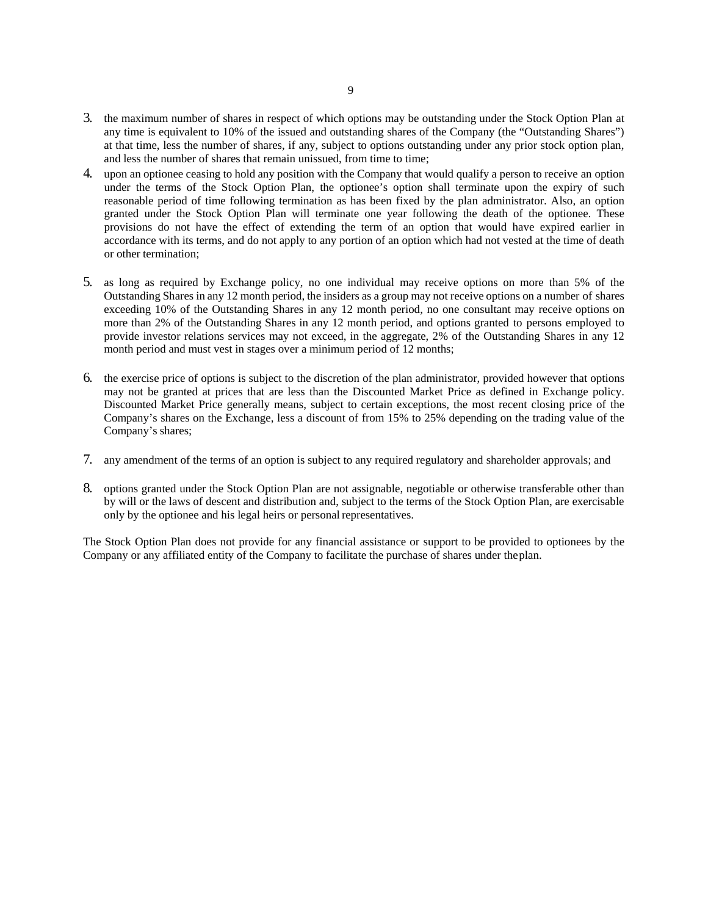- 3. the maximum number of shares in respect of which options may be outstanding under the Stock Option Plan at any time is equivalent to 10% of the issued and outstanding shares of the Company (the "Outstanding Shares") at that time, less the number of shares, if any, subject to options outstanding under any prior stock option plan, and less the number of shares that remain unissued, from time to time;
- 4. upon an optionee ceasing to hold any position with the Company that would qualify a person to receive an option under the terms of the Stock Option Plan, the optionee's option shall terminate upon the expiry of such reasonable period of time following termination as has been fixed by the plan administrator. Also, an option granted under the Stock Option Plan will terminate one year following the death of the optionee. These provisions do not have the effect of extending the term of an option that would have expired earlier in accordance with its terms, and do not apply to any portion of an option which had not vested at the time of death or other termination;
- 5. as long as required by Exchange policy, no one individual may receive options on more than 5% of the Outstanding Shares in any 12 month period, the insiders as a group may not receive options on a number of shares exceeding 10% of the Outstanding Shares in any 12 month period, no one consultant may receive options on more than 2% of the Outstanding Shares in any 12 month period, and options granted to persons employed to provide investor relations services may not exceed, in the aggregate, 2% of the Outstanding Shares in any 12 month period and must vest in stages over a minimum period of 12 months;
- 6. the exercise price of options is subject to the discretion of the plan administrator, provided however that options may not be granted at prices that are less than the Discounted Market Price as defined in Exchange policy. Discounted Market Price generally means, subject to certain exceptions, the most recent closing price of the Company's shares on the Exchange, less a discount of from 15% to 25% depending on the trading value of the Company's shares;
- 7. any amendment of the terms of an option is subject to any required regulatory and shareholder approvals; and
- 8. options granted under the Stock Option Plan are not assignable, negotiable or otherwise transferable other than by will or the laws of descent and distribution and, subject to the terms of the Stock Option Plan, are exercisable only by the optionee and his legal heirs or personalrepresentatives.

The Stock Option Plan does not provide for any financial assistance or support to be provided to optionees by the Company or any affiliated entity of the Company to facilitate the purchase of shares under theplan.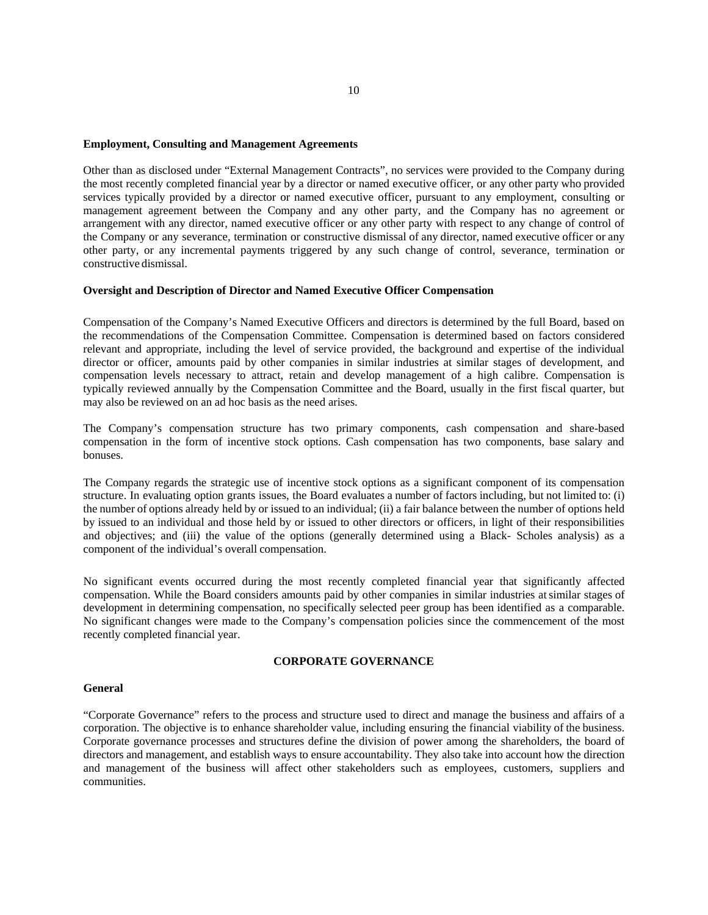#### **Employment, Consulting and Management Agreements**

Other than as disclosed under "External Management Contracts", no services were provided to the Company during the most recently completed financial year by a director or named executive officer, or any other party who provided services typically provided by a director or named executive officer, pursuant to any employment, consulting or management agreement between the Company and any other party, and the Company has no agreement or arrangement with any director, named executive officer or any other party with respect to any change of control of the Company or any severance, termination or constructive dismissal of any director, named executive officer or any other party, or any incremental payments triggered by any such change of control, severance, termination or constructive dismissal.

#### **Oversight and Description of Director and Named Executive Officer Compensation**

Compensation of the Company's Named Executive Officers and directors is determined by the full Board, based on the recommendations of the Compensation Committee. Compensation is determined based on factors considered relevant and appropriate, including the level of service provided, the background and expertise of the individual director or officer, amounts paid by other companies in similar industries at similar stages of development, and compensation levels necessary to attract, retain and develop management of a high calibre. Compensation is typically reviewed annually by the Compensation Committee and the Board, usually in the first fiscal quarter, but may also be reviewed on an ad hoc basis as the need arises.

The Company's compensation structure has two primary components, cash compensation and share-based compensation in the form of incentive stock options. Cash compensation has two components, base salary and bonuses.

The Company regards the strategic use of incentive stock options as a significant component of its compensation structure. In evaluating option grants issues, the Board evaluates a number of factors including, but not limited to: (i) the number of options already held by or issued to an individual; (ii) a fair balance between the number of options held by issued to an individual and those held by or issued to other directors or officers, in light of their responsibilities and objectives; and (iii) the value of the options (generally determined using a Black- Scholes analysis) as a component of the individual's overall compensation.

No significant events occurred during the most recently completed financial year that significantly affected compensation. While the Board considers amounts paid by other companies in similar industries atsimilar stages of development in determining compensation, no specifically selected peer group has been identified as a comparable. No significant changes were made to the Company's compensation policies since the commencement of the most recently completed financial year.

#### **CORPORATE GOVERNANCE**

#### **General**

"Corporate Governance" refers to the process and structure used to direct and manage the business and affairs of a corporation. The objective is to enhance shareholder value, including ensuring the financial viability of the business. Corporate governance processes and structures define the division of power among the shareholders, the board of directors and management, and establish ways to ensure accountability. They also take into account how the direction and management of the business will affect other stakeholders such as employees, customers, suppliers and communities.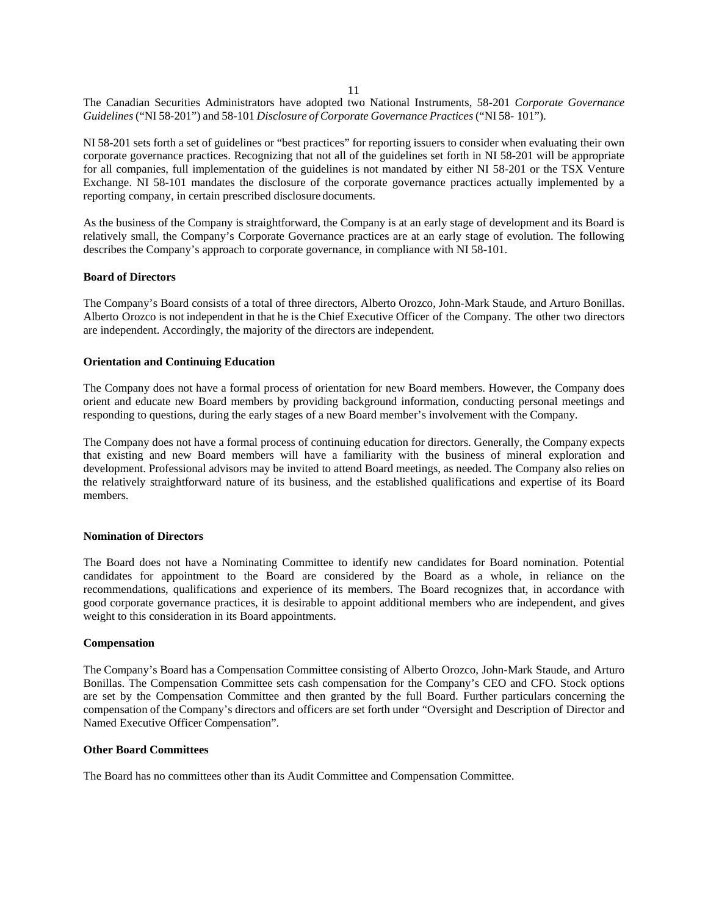11

The Canadian Securities Administrators have adopted two National Instruments, 58-201 *Corporate Governance Guidelines*("NI 58-201") and 58-101 *Disclosure of Corporate Governance Practices*("NI 58- 101").

NI 58-201 sets forth a set of guidelines or "best practices" for reporting issuers to consider when evaluating their own corporate governance practices. Recognizing that not all of the guidelines set forth in NI 58-201 will be appropriate for all companies, full implementation of the guidelines is not mandated by either NI 58-201 or the TSX Venture Exchange. NI 58-101 mandates the disclosure of the corporate governance practices actually implemented by a reporting company, in certain prescribed disclosure documents.

As the business of the Company is straightforward, the Company is at an early stage of development and its Board is relatively small, the Company's Corporate Governance practices are at an early stage of evolution. The following describes the Company's approach to corporate governance, in compliance with NI 58-101.

### **Board of Directors**

The Company's Board consists of a total of three directors, Alberto Orozco, John-Mark Staude, and Arturo Bonillas. Alberto Orozco is not independent in that he is the Chief Executive Officer of the Company. The other two directors are independent. Accordingly, the majority of the directors are independent.

### **Orientation and Continuing Education**

The Company does not have a formal process of orientation for new Board members. However, the Company does orient and educate new Board members by providing background information, conducting personal meetings and responding to questions, during the early stages of a new Board member's involvement with the Company.

The Company does not have a formal process of continuing education for directors. Generally, the Company expects that existing and new Board members will have a familiarity with the business of mineral exploration and development. Professional advisors may be invited to attend Board meetings, as needed. The Company also relies on the relatively straightforward nature of its business, and the established qualifications and expertise of its Board members.

#### **Nomination of Directors**

The Board does not have a Nominating Committee to identify new candidates for Board nomination. Potential candidates for appointment to the Board are considered by the Board as a whole, in reliance on the recommendations, qualifications and experience of its members. The Board recognizes that, in accordance with good corporate governance practices, it is desirable to appoint additional members who are independent, and gives weight to this consideration in its Board appointments.

#### **Compensation**

The Company's Board has a Compensation Committee consisting of Alberto Orozco, John-Mark Staude, and Arturo Bonillas. The Compensation Committee sets cash compensation for the Company's CEO and CFO. Stock options are set by the Compensation Committee and then granted by the full Board. Further particulars concerning the compensation of the Company's directors and officers are set forth under "Oversight and Description of Director and Named Executive Officer Compensation".

#### **Other Board Committees**

The Board has no committees other than its Audit Committee and Compensation Committee.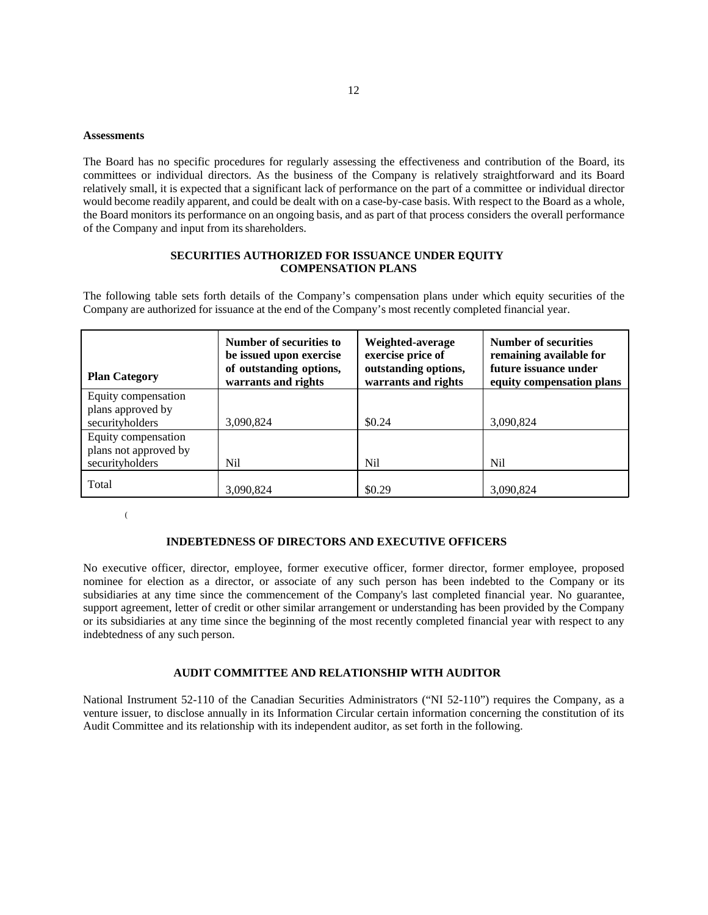#### **Assessments**

The Board has no specific procedures for regularly assessing the effectiveness and contribution of the Board, its committees or individual directors. As the business of the Company is relatively straightforward and its Board relatively small, it is expected that a significant lack of performance on the part of a committee or individual director would become readily apparent, and could be dealt with on a case-by-case basis. With respect to the Board as a whole, the Board monitors its performance on an ongoing basis, and as part of that process considers the overall performance of the Company and input from its shareholders.

## **SECURITIES AUTHORIZED FOR ISSUANCE UNDER EQUITY COMPENSATION PLANS**

The following table sets forth details of the Company's compensation plans under which equity securities of the Company are authorized for issuance at the end of the Company's most recently completed financial year.

| <b>Plan Category</b>                                            | Number of securities to<br>be issued upon exercise<br>of outstanding options,<br>warrants and rights | Weighted-average<br>exercise price of<br>outstanding options,<br>warrants and rights | <b>Number of securities</b><br>remaining available for<br>future issuance under<br>equity compensation plans |
|-----------------------------------------------------------------|------------------------------------------------------------------------------------------------------|--------------------------------------------------------------------------------------|--------------------------------------------------------------------------------------------------------------|
| Equity compensation<br>plans approved by                        |                                                                                                      |                                                                                      |                                                                                                              |
| securityholders                                                 | 3,090,824                                                                                            | \$0.24                                                                               | 3,090,824                                                                                                    |
| Equity compensation<br>plans not approved by<br>securityholders | Nil                                                                                                  | Nil                                                                                  | <b>Nil</b>                                                                                                   |
| Total                                                           | 3,090,824                                                                                            | \$0.29                                                                               | 3,090,824                                                                                                    |

(

### **INDEBTEDNESS OF DIRECTORS AND EXECUTIVE OFFICERS**

No executive officer, director, employee, former executive officer, former director, former employee, proposed nominee for election as a director, or associate of any such person has been indebted to the Company or its subsidiaries at any time since the commencement of the Company's last completed financial year. No guarantee, support agreement, letter of credit or other similar arrangement or understanding has been provided by the Company or its subsidiaries at any time since the beginning of the most recently completed financial year with respect to any indebtedness of any such person.

#### **AUDIT COMMITTEE AND RELATIONSHIP WITH AUDITOR**

National Instrument 52-110 of the Canadian Securities Administrators ("NI 52-110") requires the Company, as a venture issuer, to disclose annually in its Information Circular certain information concerning the constitution of its Audit Committee and its relationship with its independent auditor, as set forth in the following.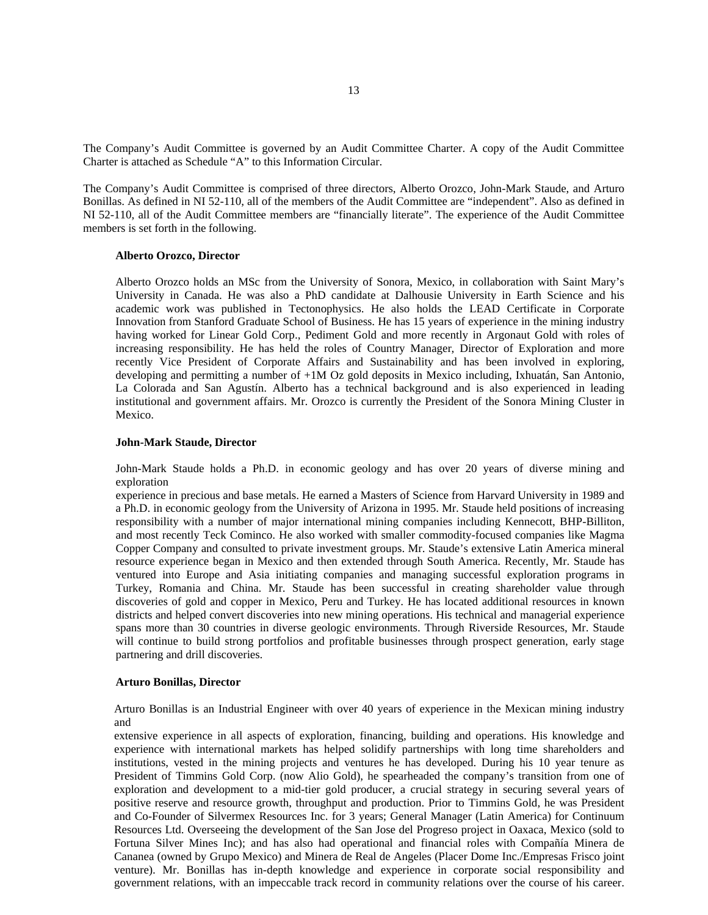The Company's Audit Committee is governed by an Audit Committee Charter. A copy of the Audit Committee Charter is attached as Schedule "A" to this Information Circular.

The Company's Audit Committee is comprised of three directors, Alberto Orozco, John-Mark Staude, and Arturo Bonillas. As defined in NI 52-110, all of the members of the Audit Committee are "independent". Also as defined in NI 52-110, all of the Audit Committee members are "financially literate". The experience of the Audit Committee members is set forth in the following.

#### **Alberto Orozco, Director**

Alberto Orozco holds an MSc from the University of Sonora, Mexico, in collaboration with Saint Mary's University in Canada. He was also a PhD candidate at Dalhousie University in Earth Science and his academic work was published in Tectonophysics. He also holds the LEAD Certificate in Corporate Innovation from Stanford Graduate School of Business. He has 15 years of experience in the mining industry having worked for Linear Gold Corp., Pediment Gold and more recently in Argonaut Gold with roles of increasing responsibility. He has held the roles of Country Manager, Director of Exploration and more recently Vice President of Corporate Affairs and Sustainability and has been involved in exploring, developing and permitting a number of +1M Oz gold deposits in Mexico including, Ixhuatán, San Antonio, La Colorada and San Agustín. Alberto has a technical background and is also experienced in leading institutional and government affairs. Mr. Orozco is currently the President of the Sonora Mining Cluster in Mexico.

#### **John-Mark Staude, Director**

John-Mark Staude holds a Ph.D. in economic geology and has over 20 years of diverse mining and exploration

experience in precious and base metals. He earned a Masters of Science from Harvard University in 1989 and a Ph.D. in economic geology from the University of Arizona in 1995. Mr. Staude held positions of increasing responsibility with a number of major international mining companies including Kennecott, BHP-Billiton, and most recently Teck Cominco. He also worked with smaller commodity-focused companies like Magma Copper Company and consulted to private investment groups. Mr. Staude's extensive Latin America mineral resource experience began in Mexico and then extended through South America. Recently, Mr. Staude has ventured into Europe and Asia initiating companies and managing successful exploration programs in Turkey, Romania and China. Mr. Staude has been successful in creating shareholder value through discoveries of gold and copper in Mexico, Peru and Turkey. He has located additional resources in known districts and helped convert discoveries into new mining operations. His technical and managerial experience spans more than 30 countries in diverse geologic environments. Through Riverside Resources, Mr. Staude will continue to build strong portfolios and profitable businesses through prospect generation, early stage partnering and drill discoveries.

### **Arturo Bonillas, Director**

Arturo Bonillas is an Industrial Engineer with over 40 years of experience in the Mexican mining industry and

extensive experience in all aspects of exploration, financing, building and operations. His knowledge and experience with international markets has helped solidify partnerships with long time shareholders and institutions, vested in the mining projects and ventures he has developed. During his 10 year tenure as President of Timmins Gold Corp. (now Alio Gold), he spearheaded the company's transition from one of exploration and development to a mid-tier gold producer, a crucial strategy in securing several years of positive reserve and resource growth, throughput and production. Prior to Timmins Gold, he was President and Co-Founder of Silvermex Resources Inc. for 3 years; General Manager (Latin America) for Continuum Resources Ltd. Overseeing the development of the San Jose del Progreso project in Oaxaca, Mexico (sold to Fortuna Silver Mines Inc); and has also had operational and financial roles with Compañía Minera de Cananea (owned by Grupo Mexico) and Minera de Real de Angeles (Placer Dome Inc./Empresas Frisco joint venture). Mr. Bonillas has in-depth knowledge and experience in corporate social responsibility and government relations, with an impeccable track record in community relations over the course of his career.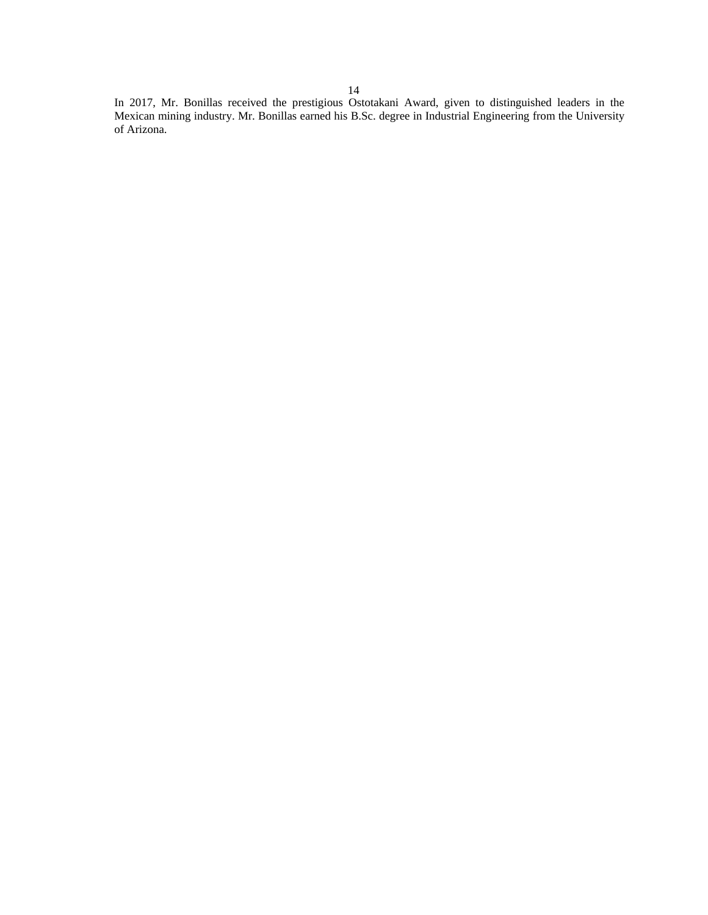In 2017, Mr. Bonillas received the prestigious Ostotakani Award, given to distinguished leaders in the Mexican mining industry. Mr. Bonillas earned his B.Sc. degree in Industrial Engineering from the University of Arizona.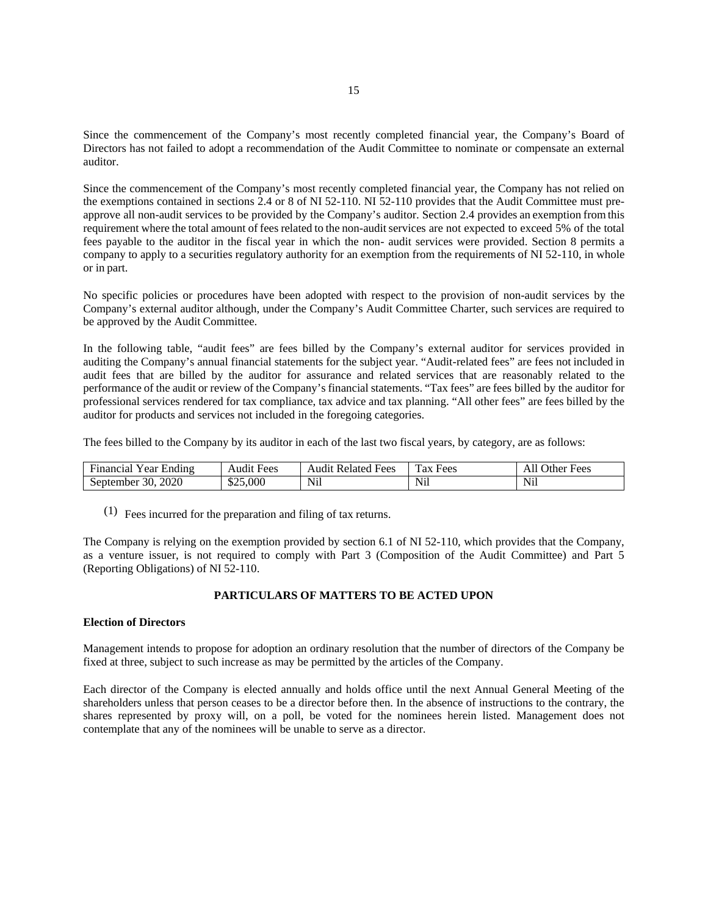Since the commencement of the Company's most recently completed financial year, the Company's Board of Directors has not failed to adopt a recommendation of the Audit Committee to nominate or compensate an external auditor.

Since the commencement of the Company's most recently completed financial year, the Company has not relied on the exemptions contained in sections 2.4 or 8 of NI 52-110. NI 52-110 provides that the Audit Committee must preapprove all non-audit services to be provided by the Company's auditor. Section 2.4 provides an exemption from this requirement where the total amount of fees related to the non-audit services are not expected to exceed 5% of the total fees payable to the auditor in the fiscal year in which the non- audit services were provided. Section 8 permits a company to apply to a securities regulatory authority for an exemption from the requirements of NI 52-110, in whole or in part.

No specific policies or procedures have been adopted with respect to the provision of non-audit services by the Company's external auditor although, under the Company's Audit Committee Charter, such services are required to be approved by the Audit Committee.

In the following table, "audit fees" are fees billed by the Company's external auditor for services provided in auditing the Company's annual financial statements for the subject year. "Audit-related fees" are fees not included in audit fees that are billed by the auditor for assurance and related services that are reasonably related to the performance of the audit or review of the Company's financial statements. "Tax fees" are fees billed by the auditor for professional services rendered for tax compliance, tax advice and tax planning. "All other fees" are fees billed by the auditor for products and services not included in the foregoing categories.

The fees billed to the Company by its auditor in each of the last two fiscal years, by category, are as follows:

| $\sim$<br>$ -$<br>. .<br>Hinancia.<br>Ending<br>. ear | $\sim$<br>Fees<br>Audn | Fees<br>Audit<br>Related | $\mathbf{r}$<br><b>Fees</b><br><b>ax</b> | Ð<br>Other<br>Fees<br>$\mathbf{u}$ |
|-------------------------------------------------------|------------------------|--------------------------|------------------------------------------|------------------------------------|
| 2020<br>30<br>September                               | \$25,000               | Nil                      | Nil                                      | $\mathbf{v}$<br>$N_{11}$           |

 $(1)$  Fees incurred for the preparation and filing of tax returns.

The Company is relying on the exemption provided by section 6.1 of NI 52-110, which provides that the Company, as a venture issuer, is not required to comply with Part 3 (Composition of the Audit Committee) and Part 5 (Reporting Obligations) of NI 52-110.

### **PARTICULARS OF MATTERS TO BE ACTED UPON**

#### **Election of Directors**

Management intends to propose for adoption an ordinary resolution that the number of directors of the Company be fixed at three, subject to such increase as may be permitted by the articles of the Company.

Each director of the Company is elected annually and holds office until the next Annual General Meeting of the shareholders unless that person ceases to be a director before then. In the absence of instructions to the contrary, the shares represented by proxy will, on a poll, be voted for the nominees herein listed. Management does not contemplate that any of the nominees will be unable to serve as a director.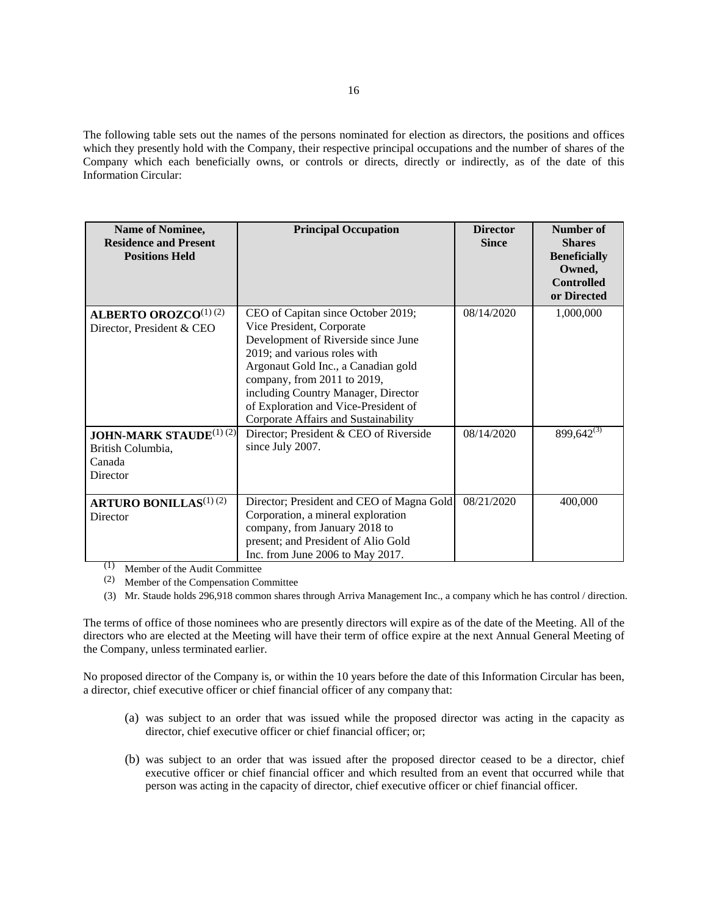The following table sets out the names of the persons nominated for election as directors, the positions and offices which they presently hold with the Company, their respective principal occupations and the number of shares of the Company which each beneficially owns, or controls or directs, directly or indirectly, as of the date of this Information Circular:

| <b>Name of Nominee,</b><br><b>Residence and Present</b><br><b>Positions Held</b> | <b>Principal Occupation</b>                                                                                                                                                                                                                                                                                                         | <b>Director</b><br><b>Since</b> | Number of<br><b>Shares</b><br><b>Beneficially</b><br>Owned,<br><b>Controlled</b><br>or Directed |
|----------------------------------------------------------------------------------|-------------------------------------------------------------------------------------------------------------------------------------------------------------------------------------------------------------------------------------------------------------------------------------------------------------------------------------|---------------------------------|-------------------------------------------------------------------------------------------------|
| <b>ALBERTO OROZCO</b> <sup>(1)</sup> (2)<br>Director, President & CEO            | CEO of Capitan since October 2019;<br>Vice President, Corporate<br>Development of Riverside since June<br>2019; and various roles with<br>Argonaut Gold Inc., a Canadian gold<br>company, from 2011 to 2019,<br>including Country Manager, Director<br>of Exploration and Vice-President of<br>Corporate Affairs and Sustainability | 08/14/2020                      | 1,000,000                                                                                       |
| <b>JOHN-MARK STAUDE(1)(2)</b><br>British Columbia,<br>Canada<br>Director         | Director; President & CEO of Riverside<br>since July 2007.                                                                                                                                                                                                                                                                          | 08/14/2020                      | $899,642^{(3)}$                                                                                 |
| <b>ARTURO BONILLAS</b> <sup>(1)</sup> (2)<br>Director                            | Director; President and CEO of Magna Gold<br>Corporation, a mineral exploration<br>company, from January 2018 to<br>present; and President of Alio Gold<br>Inc. from June 2006 to May 2017.                                                                                                                                         | 08/21/2020                      | 400,000                                                                                         |

(1) Member of the Audit Committee

(2) Member of the Compensation Committee

(3) Mr. Staude holds 296,918 common shares through Arriva Management Inc., a company which he has control / direction.

The terms of office of those nominees who are presently directors will expire as of the date of the Meeting. All of the directors who are elected at the Meeting will have their term of office expire at the next Annual General Meeting of the Company, unless terminated earlier.

No proposed director of the Company is, or within the 10 years before the date of this Information Circular has been, a director, chief executive officer or chief financial officer of any company that:

- (a) was subject to an order that was issued while the proposed director was acting in the capacity as director, chief executive officer or chief financial officer; or;
- (b) was subject to an order that was issued after the proposed director ceased to be a director, chief executive officer or chief financial officer and which resulted from an event that occurred while that person was acting in the capacity of director, chief executive officer or chief financial officer.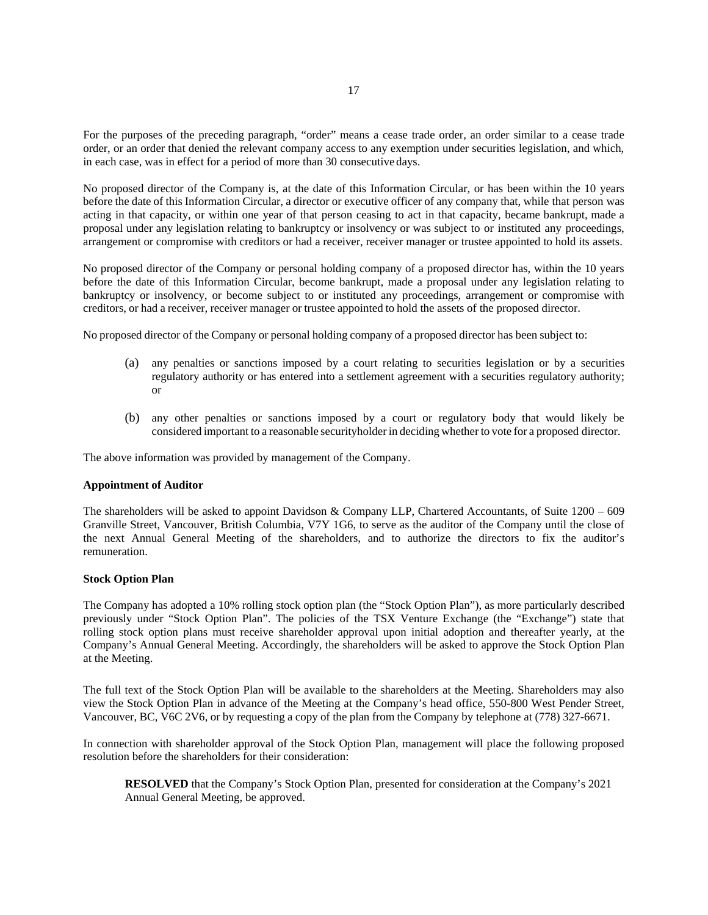For the purposes of the preceding paragraph, "order" means a cease trade order, an order similar to a cease trade order, or an order that denied the relevant company access to any exemption under securities legislation, and which, in each case, was in effect for a period of more than 30 consecutive days.

No proposed director of the Company is, at the date of this Information Circular, or has been within the 10 years before the date of this Information Circular, a director or executive officer of any company that, while that person was acting in that capacity, or within one year of that person ceasing to act in that capacity, became bankrupt, made a proposal under any legislation relating to bankruptcy or insolvency or was subject to or instituted any proceedings, arrangement or compromise with creditors or had a receiver, receiver manager or trustee appointed to hold its assets.

No proposed director of the Company or personal holding company of a proposed director has, within the 10 years before the date of this Information Circular, become bankrupt, made a proposal under any legislation relating to bankruptcy or insolvency, or become subject to or instituted any proceedings, arrangement or compromise with creditors, or had a receiver, receiver manager or trustee appointed to hold the assets of the proposed director.

No proposed director of the Company or personal holding company of a proposed director has been subject to:

- (a) any penalties or sanctions imposed by a court relating to securities legislation or by a securities regulatory authority or has entered into a settlement agreement with a securities regulatory authority; or
- (b) any other penalties or sanctions imposed by a court or regulatory body that would likely be considered important to a reasonable securityholder in deciding whether to vote for a proposed director.

The above information was provided by management of the Company.

#### **Appointment of Auditor**

The shareholders will be asked to appoint Davidson & Company LLP, Chartered Accountants, of Suite 1200 – 609 Granville Street, Vancouver, British Columbia, V7Y 1G6, to serve as the auditor of the Company until the close of the next Annual General Meeting of the shareholders, and to authorize the directors to fix the auditor's remuneration.

### **Stock Option Plan**

The Company has adopted a 10% rolling stock option plan (the "Stock Option Plan"), as more particularly described previously under "Stock Option Plan". The policies of the TSX Venture Exchange (the "Exchange") state that rolling stock option plans must receive shareholder approval upon initial adoption and thereafter yearly, at the Company's Annual General Meeting. Accordingly, the shareholders will be asked to approve the Stock Option Plan at the Meeting.

The full text of the Stock Option Plan will be available to the shareholders at the Meeting. Shareholders may also view the Stock Option Plan in advance of the Meeting at the Company's head office, 550-800 West Pender Street, Vancouver, BC, V6C 2V6, or by requesting a copy of the plan from the Company by telephone at (778) 327-6671.

In connection with shareholder approval of the Stock Option Plan, management will place the following proposed resolution before the shareholders for their consideration:

**RESOLVED** that the Company's Stock Option Plan, presented for consideration at the Company's 2021 Annual General Meeting, be approved.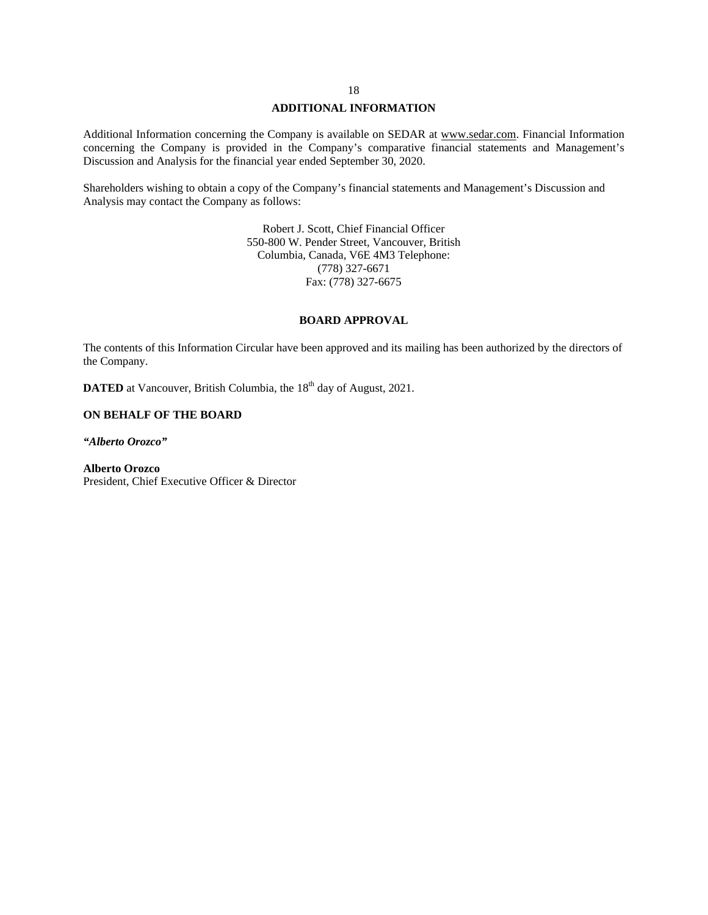## **ADDITIONAL INFORMATION**

Additional Information concerning the Company is available on SEDAR at [www.sedar.com.](http://www.sedar.com/) Financial Information concerning the Company is provided in the Company's comparative financial statements and Management's Discussion and Analysis for the financial year ended September 30, 2020.

Shareholders wishing to obtain a copy of the Company's financial statements and Management's Discussion and Analysis may contact the Company as follows:

> Robert J. Scott, Chief Financial Officer 550-800 W. Pender Street, Vancouver, British Columbia, Canada, V6E 4M3 Telephone: (778) 327-6671 Fax: (778) 327-6675

### **BOARD APPROVAL**

The contents of this Information Circular have been approved and its mailing has been authorized by the directors of the Company.

**DATED** at Vancouver, British Columbia, the 18<sup>th</sup> day of August, 2021.

### **ON BEHALF OF THE BOARD**

*"Alberto Orozco"*

**Alberto Orozco** President, Chief Executive Officer & Director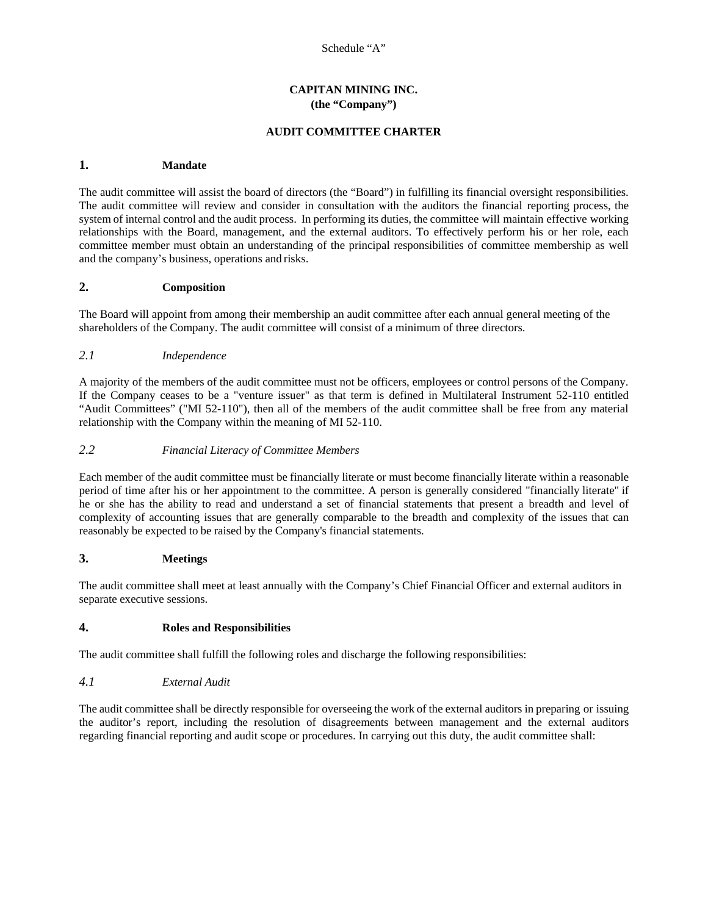## **CAPITAN MINING INC. (the "Company")**

## **AUDIT COMMITTEE CHARTER**

## **1. Mandate**

The audit committee will assist the board of directors (the "Board") in fulfilling its financial oversight responsibilities. The audit committee will review and consider in consultation with the auditors the financial reporting process, the system of internal control and the audit process. In performing its duties, the committee will maintain effective working relationships with the Board, management, and the external auditors. To effectively perform his or her role, each committee member must obtain an understanding of the principal responsibilities of committee membership as well and the company's business, operations and risks.

## **2. Composition**

The Board will appoint from among their membership an audit committee after each annual general meeting of the shareholders of the Company. The audit committee will consist of a minimum of three directors.

## *2.1 Independence*

A majority of the members of the audit committee must not be officers, employees or control persons of the Company. If the Company ceases to be a "venture issuer" as that term is defined in Multilateral Instrument 52-110 entitled "Audit Committees" ("MI 52-110"), then all of the members of the audit committee shall be free from any material relationship with the Company within the meaning of MI 52-110.

### *2.2 Financial Literacy of Committee Members*

Each member of the audit committee must be financially literate or must become financially literate within a reasonable period of time after his or her appointment to the committee. A person is generally considered "financially literate" if he or she has the ability to read and understand a set of financial statements that present a breadth and level of complexity of accounting issues that are generally comparable to the breadth and complexity of the issues that can reasonably be expected to be raised by the Company's financial statements.

## **3. Meetings**

The audit committee shall meet at least annually with the Company's Chief Financial Officer and external auditors in separate executive sessions.

## **4. Roles and Responsibilities**

The audit committee shall fulfill the following roles and discharge the following responsibilities:

## *4.1 External Audit*

The audit committee shall be directly responsible for overseeing the work of the external auditors in preparing or issuing the auditor's report, including the resolution of disagreements between management and the external auditors regarding financial reporting and audit scope or procedures. In carrying out this duty, the audit committee shall: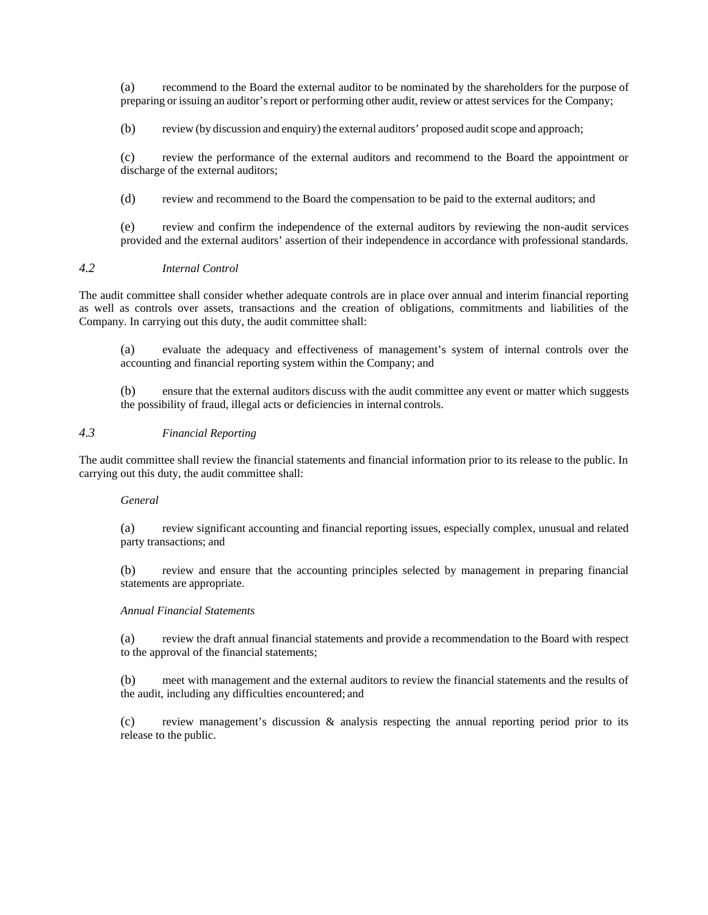(a) recommend to the Board the external auditor to be nominated by the shareholders for the purpose of preparing or issuing an auditor's report or performing other audit, review or attest services for the Company;

(b) review (by discussion and enquiry) the external auditors' proposed audit scope and approach;

(c) review the performance of the external auditors and recommend to the Board the appointment or discharge of the external auditors;

(d) review and recommend to the Board the compensation to be paid to the external auditors; and

(e) review and confirm the independence of the external auditors by reviewing the non-audit services provided and the external auditors' assertion of their independence in accordance with professional standards.

## *4.2 Internal Control*

The audit committee shall consider whether adequate controls are in place over annual and interim financial reporting as well as controls over assets, transactions and the creation of obligations, commitments and liabilities of the Company. In carrying out this duty, the audit committee shall:

(a) evaluate the adequacy and effectiveness of management's system of internal controls over the accounting and financial reporting system within the Company; and

(b) ensure that the external auditors discuss with the audit committee any event or matter which suggests the possibility of fraud, illegal acts or deficiencies in internal controls.

## *4.3 Financial Reporting*

The audit committee shall review the financial statements and financial information prior to its release to the public. In carrying out this duty, the audit committee shall:

### *General*

(a) review significant accounting and financial reporting issues, especially complex, unusual and related party transactions; and

(b) review and ensure that the accounting principles selected by management in preparing financial statements are appropriate.

## *Annual Financial Statements*

(a) review the draft annual financial statements and provide a recommendation to the Board with respect to the approval of the financial statements;

(b) meet with management and the external auditors to review the financial statements and the results of the audit, including any difficulties encountered; and

(c) review management's discussion & analysis respecting the annual reporting period prior to its release to the public.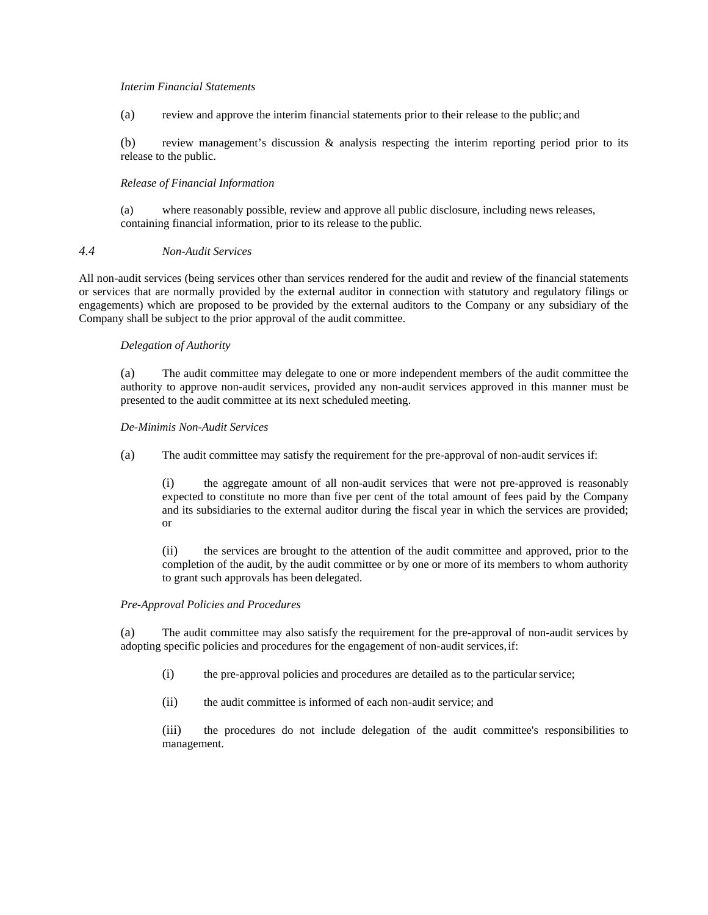### *Interim Financial Statements*

(a) review and approve the interim financial statements prior to their release to the public; and

(b) review management's discussion & analysis respecting the interim reporting period prior to its release to the public.

### *Release of Financial Information*

(a) where reasonably possible, review and approve all public disclosure, including news releases, containing financial information, prior to its release to the public.

### *4.4 Non-Audit Services*

All non-audit services (being services other than services rendered for the audit and review of the financial statements or services that are normally provided by the external auditor in connection with statutory and regulatory filings or engagements) which are proposed to be provided by the external auditors to the Company or any subsidiary of the Company shall be subject to the prior approval of the audit committee.

### *Delegation of Authority*

(a) The audit committee may delegate to one or more independent members of the audit committee the authority to approve non-audit services, provided any non-audit services approved in this manner must be presented to the audit committee at its next scheduled meeting.

### *De-Minimis Non-Audit Services*

(a) The audit committee may satisfy the requirement for the pre-approval of non-audit services if:

(i) the aggregate amount of all non-audit services that were not pre-approved is reasonably expected to constitute no more than five per cent of the total amount of fees paid by the Company and its subsidiaries to the external auditor during the fiscal year in which the services are provided; or

(ii) the services are brought to the attention of the audit committee and approved, prior to the completion of the audit, by the audit committee or by one or more of its members to whom authority to grant such approvals has been delegated.

## *Pre-Approval Policies and Procedures*

(a) The audit committee may also satisfy the requirement for the pre-approval of non-audit services by adopting specific policies and procedures for the engagement of non-audit services,if:

- (i) the pre-approval policies and procedures are detailed as to the particularservice;
- (ii) the audit committee is informed of each non-audit service; and

(iii) the procedures do not include delegation of the audit committee's responsibilities to management.